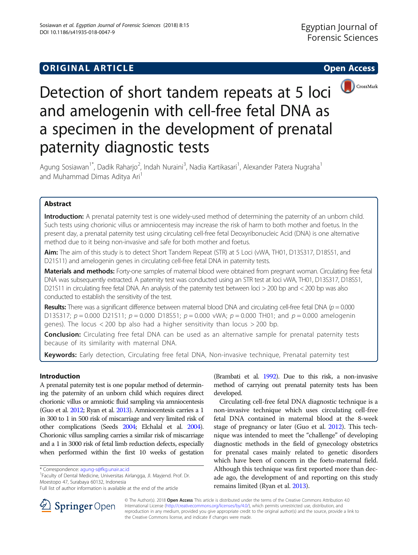



# Detection of short tandem repeats at 5 loci and amelogenin with cell-free fetal DNA as a specimen in the development of prenatal paternity diagnostic tests

Agung Sosiawan<sup>1\*</sup>, Dadik Raharjo<sup>2</sup>, Indah Nuraini<sup>3</sup>, Nadia Kartikasari<sup>1</sup>, Alexander Patera Nugraha<sup>1</sup> and Muhammad Dimas Aditya Ari<sup>1</sup>

# Abstract

Introduction: A prenatal paternity test is one widely-used method of determining the paternity of an unborn child. Such tests using chorionic villus or amniocentesis may increase the risk of harm to both mother and foetus. In the present day, a prenatal paternity test using circulating cell-free fetal Deoxyribonucleic Acid (DNA) is one alternative method due to it being non-invasive and safe for both mother and foetus.

Aim: The aim of this study is to detect Short Tandem Repeat (STR) at 5 Loci (vWA, TH01, D13S317, D18S51, and D21S11) and amelogenin genes in circulating cell-free fetal DNA in paternity tests.

Materials and methods: Forty-one samples of maternal blood were obtained from pregnant woman. Circulating free fetal DNA was subsequently extracted. A paternity test was conducted using an STR test at loci vWA, TH01, D13S317, D18S51, D21S11 in circulating free fetal DNA. An analysis of the paternity test between loci > 200 bp and < 200 bp was also conducted to establish the sensitivity of the test.

**Results:** There was a significant difference between maternal blood DNA and circulating cell-free fetal DNA ( $p = 0.000$ ) D13S317;  $p = 0.000$  D21S11;  $p = 0.000$  D18S51;  $p = 0.000$  vWA;  $p = 0.000$  TH01; and  $p = 0.000$  amelogenin genes). The locus  $<$  200 bp also had a higher sensitivity than locus  $>$  200 bp.

**Conclusion:** Circulating free fetal DNA can be used as an alternative sample for prenatal paternity tests because of its similarity with maternal DNA.

Keywords: Early detection, Circulating free fetal DNA, Non-invasive technique, Prenatal paternity test

# Introduction

A prenatal paternity test is one popular method of determining the paternity of an unborn child which requires direct chorionic villus or amniotic fluid sampling via amniocentesis (Guo et al. [2012;](#page-4-0) Ryan et al. [2013](#page-4-0)). Amniocentesis carries a 1 in 300 to 1 in 500 risk of miscarriage and very limited risk of other complications (Seeds [2004](#page-4-0); Elchalal et al. [2004\)](#page-4-0). Chorionic villus sampling carries a similar risk of miscarriage and a 1 in 3000 risk of fetal limb reduction defects, especially when performed within the first 10 weeks of gestation

\* Correspondence: [agung-s@fkg.unair.ac.id](mailto:agung-s@fkg.unair.ac.id) <sup>1</sup>

Faculty of Dental Medicine, Universitas Airlangga, Jl. Mayjend. Prof. Dr. Moestopo 47, Surabaya 60132, Indonesia

(Brambati et al. [1992\)](#page-4-0). Due to this risk, a non-invasive method of carrying out prenatal paternity tests has been developed.

Circulating cell-free fetal DNA diagnostic technique is a non-invasive technique which uses circulating cell-free fetal DNA contained in maternal blood at the 8-week stage of pregnancy or later (Guo et al. [2012](#page-4-0)). This technique was intended to meet the "challenge" of developing diagnostic methods in the field of gynecology obstetrics for prenatal cases mainly related to genetic disorders which have been of concern in the foeto-maternal field. Although this technique was first reported more than decade ago, the development of and reporting on this study remains limited (Ryan et al. [2013](#page-4-0)).



© The Author(s). 2018 Open Access This article is distributed under the terms of the Creative Commons Attribution 4.0 International License ([http://creativecommons.org/licenses/by/4.0/\)](http://creativecommons.org/licenses/by/4.0/), which permits unrestricted use, distribution, and reproduction in any medium, provided you give appropriate credit to the original author(s) and the source, provide a link to the Creative Commons license, and indicate if changes were made.

Full list of author information is available at the end of the article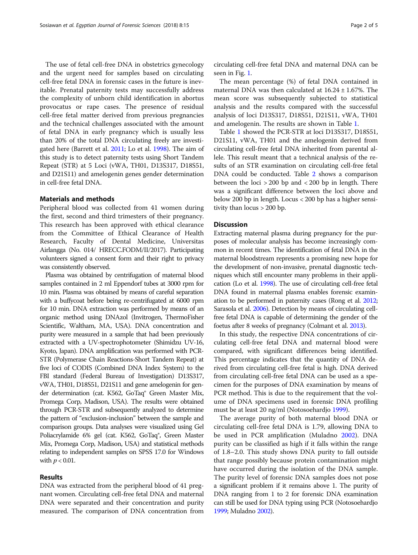The use of fetal cell-free DNA in obstetrics gynecology and the urgent need for samples based on circulating cell-free fetal DNA in forensic cases in the future is inevitable. Prenatal paternity tests may successfully address the complexity of unborn child identification in abortus provocatus or rape cases. The presence of residual cell-free fetal matter derived from previous pregnancies and the technical challenges associated with the amount of fetal DNA in early pregnancy which is usually less than 20% of the total DNA circulating freely are investigated here (Barrett et al. [2011](#page-4-0); Lo et al. [1998\)](#page-4-0). The aim of this study is to detect paternity tests using Short Tandem Repeat (STR) at 5 Loci (vWA, TH01, D13S317, D18S51, and D21S11) and amelogenin genes gender determination in cell-free fetal DNA.

## Materials and methods

Peripheral blood was collected from 41 women during the first, second and third trimesters of their pregnancy. This research has been approved with ethical clearance from the Committee of Ethical Clearance of Health Research, Faculty of Dental Medicine, Universitas Airlangga (No. 014/ HRECC.FODM/II/2017). Participating volunteers signed a consent form and their right to privacy was consistently observed.

Plasma was obtained by centrifugation of maternal blood samples contained in 2 ml Eppendorf tubes at 3000 rpm for 10 min. Plasma was obtained by means of careful separation with a buffycoat before being re-centrifugated at 6000 rpm for 10 min. DNA extraction was performed by means of an organic method using DNAzol (Invitrogen, ThermoFisher Scientific, Waltham, MA, USA). DNA concentration and purity were measured in a sample that had been previously extracted with a UV-spectrophotometer (Shimidzu UV-16, Kyoto, Japan). DNA amplification was performed with PCR-STR (Polymerase Chain Reactions-Short Tandem Repeat) at five loci of CODIS (Combined DNA Index System) to the FBI standard (Federal Bureau of Investigation) D13S317, vWA, TH01, D18S51, D21S11 and gene amelogenin for gender determination (cat. K562, GoTaq® Green Master Mix, Promega Corp, Madison, USA). The results were obtained through PCR-STR and subsequently analyzed to determine the pattern of "exclusion-inclusion" between the sample and comparison groups. Data analyses were visualized using Gel Poliacrylamide 6% gel (cat. K562, GoTaq®, Green Master Mix, Promega Corp, Madison, USA) and statistical methods relating to independent samples on SPSS 17.0 for Windows with  $p < 0.01$ .

## Results

DNA was extracted from the peripheral blood of 41 pregnant women. Circulating cell-free fetal DNA and maternal DNA were separated and their concentration and purity measured. The comparison of DNA concentration from circulating cell-free fetal DNA and maternal DNA can be seen in Fig. [1](#page-2-0).

The mean percentage (%) of fetal DNA contained in maternal DNA was then calculated at  $16.24 \pm 1.67$ %. The mean score was subsequently subjected to statistical analysis and the results compared with the successful analysis of loci D13S317, D18S51, D21S11, vWA, TH01 and amelogenin. The results are shown in Table [1](#page-2-0).

Table [1](#page-2-0) showed the PCR-STR at loci D13S317, D18S51, D21S11, vWA, TH01 and the amelogenin derived from circulating cell-free fetal DNA inherited from parental allele. This result meant that a technical analysis of the results of an STR examination on circulating cell-free fetal DNA could be conducted. Table [2](#page-2-0) shows a comparison between the loci > 200 bp and < 200 bp in length. There was a significant difference between the loci above and below 200 bp in length. Locus < 200 bp has a higher sensitivity than locus > 200 bp.

## **Discussion**

Extracting maternal plasma during pregnancy for the purposes of molecular analysis has become increasingly common in recent times. The identification of fetal DNA in the maternal bloodstream represents a promising new hope for the development of non-invasive, prenatal diagnostic techniques which still encounter many problems in their application (Lo et al. [1998](#page-4-0)). The use of circulating cell-free fetal DNA found in maternal plasma enables forensic examination to be performed in paternity cases (Rong et al. [2012](#page-4-0); Sarasola et al. [2006](#page-4-0)). Detection by means of circulating cellfree fetal DNA is capable of determining the gender of the foetus after 8 weeks of pregnancy (Colmant et al. [2013](#page-4-0)).

In this study, the respective DNA concentrations of circulating cell-free fetal DNA and maternal blood were compared, with significant differences being identified. This percentage indicates that the quantity of DNA derived from circulating cell-free fetal is high. DNA derived from circulating cell-free fetal DNA can be used as a specimen for the purposes of DNA examination by means of PCR method. This is due to the requirement that the volume of DNA specimens used in forensic DNA profiling must be at least 20 ng/ml (Notosoehardjo [1999](#page-4-0)).

The average purity of both maternal blood DNA or circulating cell-free fetal DNA is 1.79, allowing DNA to be used in PCR amplification (Muladno [2002](#page-4-0)). DNA purity can be classified as high if it falls within the range of 1.8–2.0. This study shows DNA purity to fall outside that range possibly because protein contamination might have occurred during the isolation of the DNA sample. The purity level of forensic DNA samples does not pose a significant problem if it remains above 1. The purity of DNA ranging from 1 to 2 for forensic DNA examination can still be used for DNA typing using PCR (Notosoehardjo [1999;](#page-4-0) Muladno [2002\)](#page-4-0).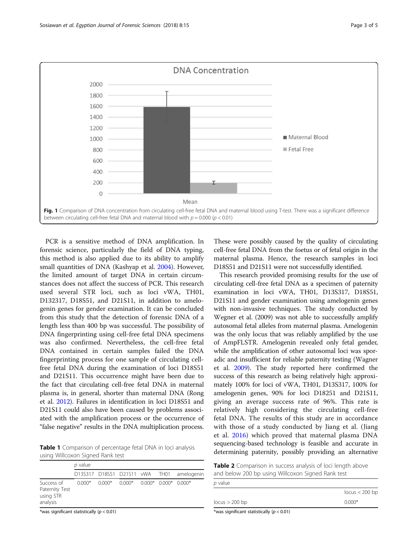<span id="page-2-0"></span>

PCR is a sensitive method of DNA amplification. In forensic science, particularly the field of DNA typing, this method is also applied due to its ability to amplify small quantities of DNA (Kashyap et al. [2004\)](#page-4-0). However, the limited amount of target DNA in certain circumstances does not affect the success of PCR. This research used several STR loci, such as loci vWA, TH01, D132317, D18S51, and D21S11, in addition to amelogenin genes for gender examination. It can be concluded from this study that the detection of forensic DNA of a length less than 400 bp was successful. The possibility of DNA fingerprinting using cell-free fetal DNA specimens was also confirmed. Nevertheless, the cell-free fetal DNA contained in certain samples failed the DNA fingerprinting process for one sample of circulating cellfree fetal DNA during the examination of loci D18S51 and D21S11. This occurrence might have been due to the fact that circulating cell-free fetal DNA in maternal plasma is, in general, shorter than maternal DNA (Rong et al. [2012\)](#page-4-0). Failures in identification in loci D18S51 and D21S11 could also have been caused by problems associated with the amplification process or the occurrence of "false negative" results in the DNA multiplication process.

Table 1 Comparison of percentage fetal DNA in loci analysis using Willcoxon Signed Rank test

|                                                                                                                                                      | p value |  |                                                       |  |  |                                           |  |  |
|------------------------------------------------------------------------------------------------------------------------------------------------------|---------|--|-------------------------------------------------------|--|--|-------------------------------------------|--|--|
|                                                                                                                                                      |         |  |                                                       |  |  | D13S317 D18S51 D21S11 vWA TH01 amelogenin |  |  |
| Success of<br>Paternity Test<br>using STR<br>analysis                                                                                                |         |  | $0.000*$ $0.000*$ $0.000*$ $0.000*$ $0.000*$ $0.000*$ |  |  |                                           |  |  |
| $\mathbf{x}$ and $\mathbf{y}$ and $\mathbf{y}$ and $\mathbf{y}$ and $\mathbf{y}$ and $\mathbf{y}$ and $\mathbf{y}$ and $\mathbf{y}$ and $\mathbf{y}$ |         |  |                                                       |  |  |                                           |  |  |

\*was significant statistically ( $p < 0.01$ )

These were possibly caused by the quality of circulating cell-free fetal DNA from the foetus or of fetal origin in the maternal plasma. Hence, the research samples in loci D18S51 and D21S11 were not successfully identified.

This research provided promising results for the use of circulating cell-free fetal DNA as a specimen of paternity examination in loci vWA, TH01, D13S317, D18S51, D21S11 and gender examination using amelogenin genes with non-invasive techniques. The study conducted by Wegner et al. (2009) was not able to successfully amplify autosomal fetal alleles from maternal plasma. Amelogenin was the only locus that was reliably amplified by the use of AmpFLSTR. Amelogenin revealed only fetal gender, while the amplification of other autosomal loci was sporadic and insufficient for reliable paternity testing (Wagner et al. [2009\)](#page-4-0). The study reported here confirmed the success of this research as being relatively high: approximately 100% for loci of vWA, TH01, D13S317, 100% for amelogenin genes, 90% for loci D18251 and D21S11, giving an average success rate of 96%. This rate is relatively high considering the circulating cell-free fetal DNA. The results of this study are in accordance with those of a study conducted by Jiang et al. (Jiang et al. [2016\)](#page-4-0) which proved that maternal plasma DNA sequencing-based technology is feasible and accurate in determining paternity, possibly providing an alternative

|  |  | <b>Table 2</b> Comparison in success analysis of loci length above |  |  |  |
|--|--|--------------------------------------------------------------------|--|--|--|
|  |  | and below 200 bp using Willcoxon Signed Rank test                  |  |  |  |

| p value                                          |  |                |
|--------------------------------------------------|--|----------------|
|                                                  |  | locus < 200 bp |
| locus > 200 bp                                   |  | $0.000*$       |
| *was significant statistically $(n \times 0.01)$ |  |                |

ant statistically  $(p < 0.01)$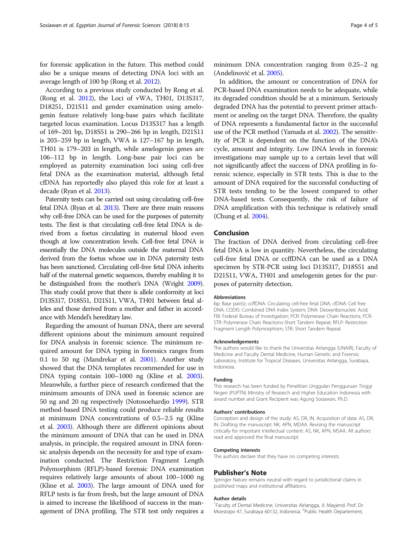for forensic application in the future. This method could also be a unique means of detecting DNA loci with an average length of 100 bp (Rong et al. [2012\)](#page-4-0).

According to a previous study conducted by Rong et al. (Rong et al. [2012](#page-4-0)), the Loci of vWA, TH01, D13S317, D18251, D21S11 and gender examination using amelogenin feature relatively long-base pairs which facilitate targeted locus examination. Locus D13S317 has a length of 169–201 bp, D18S51 is 290–266 bp in length, D21S11 is 203–259 bp in length, VWA is 127–167 bp in length, TH01 is 179–203 in length, while amelogenin genes are 106–112 bp in length. Long-base pair loci can be employed as paternity examination loci using cell-free fetal DNA as the examination material, although fetal cfDNA has reportedly also played this role for at least a decade (Ryan et al. [2013](#page-4-0)).

Paternity tests can be carried out using circulating cell-free fetal DNA (Ryan et al. [2013](#page-4-0)). There are three main reasons why cell-free DNA can be used for the purposes of paternity tests. The first is that circulating cell-free fetal DNA is derived from a foetus circulating in maternal blood even though at low concentration levels. Cell-free fetal DNA is essentially the DNA molecules outside the maternal DNA derived from the foetus whose use in DNA paternity tests has been sanctioned. Circulating cell-free fetal DNA inherits half of the maternal genetic sequences, thereby enabling it to be distinguished from the mother's DNA (Wright [2009\)](#page-4-0). This study could prove that there is allele conformity at loci D13S317, D18S51, D21S11, VWA, TH01 between fetal alleles and those derived from a mother and father in accordance with Mendel's hereditary law.

Regarding the amount of human DNA, there are several different opinions about the minimum amount required for DNA analysis in forensic science. The minimum required amount for DNA typing in forensics ranges from 0.1 to 50 ng (Mandrekar et al. [2001](#page-4-0)). Another study showed that the DNA templates recommended for use in DNA typing contain 100–1000 ng (Kline et al. [2003](#page-4-0)). Meanwhile, a further piece of research confirmed that the minimum amounts of DNA used in forensic science are 50 ng and 20 ng respectively (Notosoehardjo [1999](#page-4-0)). STR method-based DNA testing could produce reliable results at minimum DNA concentrations of 0.5–2.5 ng (Kline et al. [2003](#page-4-0)). Although there are different opinions about the minimum amount of DNA that can be used in DNA analysis, in principle, the required amount in DNA forensic analysis depends on the necessity for and type of examination conducted. The Restriction Fragment Length Polymorphism (RFLP)-based forensic DNA examination requires relatively large amounts of about 100–1000 ng (Kline et al. [2003](#page-4-0)). The large amount of DNA used for RFLP tests is far from fresh, but the large amount of DNA is aimed to increase the likelihood of success in the management of DNA profiling. The STR test only requires a minimum DNA concentration ranging from 0.25–2 ng (Andelinović et al. [2005](#page-4-0)).

In addition, the amount or concentration of DNA for PCR-based DNA examination needs to be adequate, while its degraded condition should be at a minimum. Seriously degraded DNA has the potential to prevent primer attachment or aneling on the target DNA. Therefore, the quality of DNA represents a fundamental factor in the successful use of the PCR method (Yamada et al. [2002](#page-4-0)). The sensitivity of PCR is dependent on the function of the DNA's cycle, amount and integrity. Low DNA levels in forensic investigations may sample up to a certain level that will not significantly affect the success of DNA profiling in forensic science, especially in STR tests. This is due to the amount of DNA required for the successful conducting of STR tests tending to be the lowest compared to other DNA-based tests. Consequently, the risk of failure of DNA amplification with this technique is relatively small (Chung et al. [2004](#page-4-0)).

## Conclusion

The fraction of DNA derived from circulating cell-free fetal DNA is low in quantity. Nevertheless, the circulating cell-free fetal DNA or ccffDNA can be used as a DNA specimen by STR-PCR using loci D13S317, D18S51 and D21S11, VWA, TH01 and amelogenin genes for the purposes of paternity detection.

#### Abbreviations

bp: Base pair(s); ccffDNA: Circulating cell-free fetal DNA; cfDNA: Cell free DNA; CODIS: Combined DNA Index System; DNA: Deoxyribonucleic Acid; FBI: Federal Bureau of Investigation; PCR: Polymerase Chain Reactions; PCR-STR: Polymerase Chain Reactions-Short Tandem Repeat; RFLP: Restriction Fragment Length Polymorphism; STR: Short Tandem Repeat

#### Acknowledgements

The authors would like to thank the Universitas Airlangga (UNAIR), Faculty of Medicine and Faculty Dental Medicine, Human Genetic and Forensic Laboratory, Institute for Tropical Diseases, Universitas Airlangga, Surabaya, Indonesia.

#### Funding

This research has been funded by Penelitian Unggulan Pengguruan Tinggi Negeri (PUPTN) Ministry of Research and Higher Education Indonesia with award number and Grant Recipient was Agung Sosiawan, Ph.D.

#### Authors' contributions

Conception and design of the study: AS, DR, IN. Acquisition of data: AS, DR, IN. Drafting the manuscript: NK, APN, MDAA. Revising the manuscript critically for important intellectual content: AS, NK, APN, MSAA. All authors read and approved the final manuscript.

#### Competing interests

The authors declare that they have no competing interests.

### Publisher's Note

Springer Nature remains neutral with regard to jurisdictional claims in published maps and institutional affiliations.

#### Author details

<sup>1</sup> Faculty of Dental Medicine, Universitas Airlangga, Jl. Mayjend. Prof. Dr. Moestopo 47, Surabaya 60132, Indonesia. <sup>2</sup>Public Health Departement